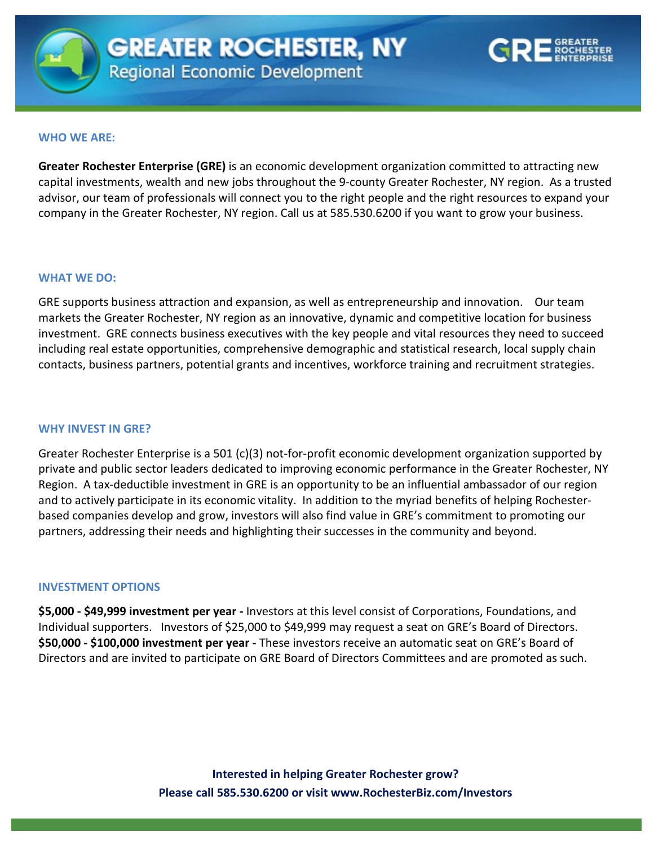



#### **WHO WE ARE:**

company in the Greater Rochester, NY region. Call us at 585.530.6200 if you want to grow your business. **Greater Rochester Enterprise (GRE)** is an economic development organization committed to attracting new capital investments, wealth and new jobs throughout the 9-county Greater Rochester, NY region. As a trusted advisor, our team of professionals will connect you to the right people and the right resources to expand your

#### **WHAT WE DO:**

GRE supports business attraction and expansion, as well as entrepreneurship and innovation. Our team markets the Greater Rochester, NY region as an innovative, dynamic and competitive location for business investment. GRE connects business executives with the key people and vital resources they need to succeed including real estate opportunities, comprehensive demographic and statistical research, local supply chain contacts, business partners, potential grants and incentives, workforce training and recruitment strategies.

## **WHY INVEST IN GRE?**

Greater Rochester Enterprise is a 501 (c)(3) not-for-profit economic development organization supported by private and public sector leaders dedicated to improving economic performance in the Greater Rochester, NY Region. A tax-deductible investment in GRE is an opportunity to be an influential ambassador of our region and to actively participate in its economic vitality. In addition to the myriad benefits of helping Rochesterbased companies develop and grow, investors will also find value in GRE's commitment to promoting our partners, addressing their needs and highlighting their successes in the community and beyond.

## **INVESTMENT OPTIONS**

**\$5,000 - \$49,999 investment per year -** Investors at this level consist of Corporations, Foundations, and Individual supporters. Investors of \$25,000 to \$49,999 may request a seat on GRE's Board of Directors. **\$50,000 - \$100,000 investment per year -** These investors receive an automatic seat on GRE's Board of Directors and are invited to participate on GRE Board of Directors Committees and are promoted as such.